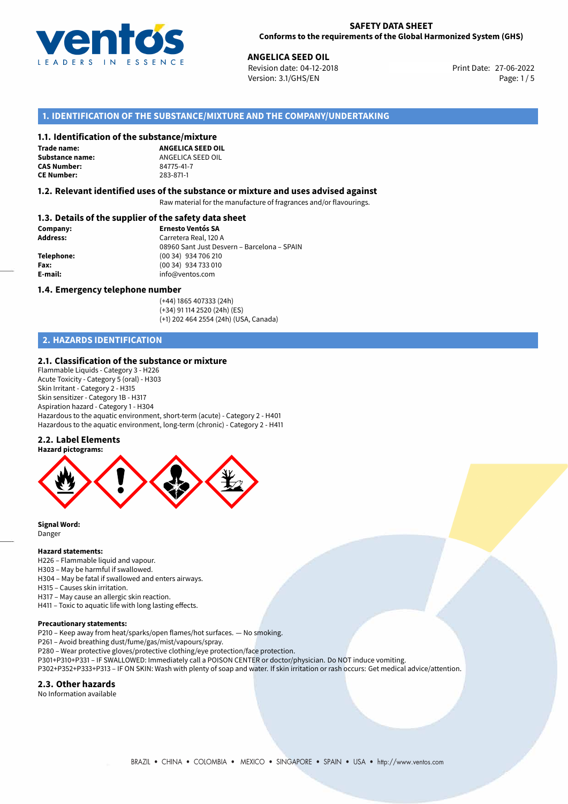

#### **SAFETY DATA SHEET Conforms to the requirements of the Global Harmonized System (GHS)**

**ANGELICA SEED OIL**<br> **27-06-2022** Revision date: 04-12-2018 Print Date: 27-06-2022 Version: 3.1/GHS/EN Page: 1 / 5

# **1. IDENTIFICATION OF THE SUBSTANCE/MIXTURE AND THE COMPANY/UNDERTAKING**

#### **1.1. Identification of the substance/mixture**

**Trade name: CAS Number: CE Number:** 283-871-1

**ANGELICA SEED OIL Substance name:** ANGELICA SEED OIL<br> **CAS Number:** 84775-41-7

#### **1.2. Relevant identified uses of the substance or mixture and uses advised against**

Raw material for the manufacture of fragrances and/or flavourings.

## **1.3. Details of the supplier of the safety data sheet**

| Company:        | <b>Ernesto Ventós SA</b>                    |
|-----------------|---------------------------------------------|
| <b>Address:</b> | Carretera Real, 120 A                       |
|                 | 08960 Sant Just Desvern - Barcelona - SPAIN |
| Telephone:      | (00 34) 934 706 210                         |
| Fax:            | (00 34) 934 733 010                         |
| E-mail:         | info@ventos.com                             |
|                 |                                             |

#### **1.4. Emergency telephone number**

(+44) 1865 407333 (24h) (+34) 91 114 2520 (24h) (ES) (+1) 202 464 2554 (24h) (USA, Canada)

# **2. HAZARDS IDENTIFICATION**

### **2.1. Classification of the substance or mixture**

Flammable Liquids - Category 3 - H226 Acute Toxicity - Category 5 (oral) - H303 Skin Irritant - Category 2 - H315 Skin sensitizer - Category 1B - H317 Aspiration hazard - Category 1 - H304 Hazardous to the aquatic environment, short-term (acute) - Category 2 - H401 Hazardous to the aquatic environment, long-term (chronic) - Category 2 - H411

#### **2.2. Label Elements**



**Signal Word:** Danger

#### **Hazard statements:**

H226 – Flammable liquid and vapour. H303 – May be harmful if swallowed. H304 – May be fatal if swallowed and enters airways. H315 – Causes skin irritation.

H317 – May cause an allergic skin reaction.

H411 – Toxic to aquatic life with long lasting effects.

#### **Precautionary statements:**

P210 – Keep away from heat/sparks/open flames/hot surfaces. — No smoking.

P261 – Avoid breathing dust/fume/gas/mist/vapours/spray.

- P280 Wear protective gloves/protective clothing/eye protection/face protection.
- P301+P310+P331 IF SWALLOWED: Immediately call a POISON CENTER or doctor/physician. Do NOT induce vomiting.
- P302+P352+P333+P313 IF ON SKIN: Wash with plenty of soap and water. If skin irritation or rash occurs: Get medical advice/attention.

#### **2.3. Other hazards**

No Information available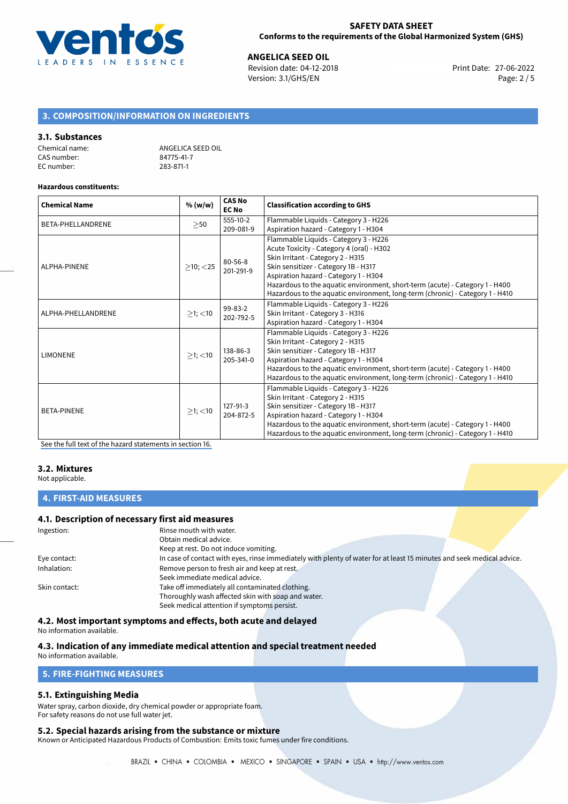

**ANGELICA SEED OIL**<br>
Revision date: 04-12-2018 **Print Date: 27-06-2022** Version: 3.1/GHS/EN Page: 2 / 5

# **3. COMPOSITION/INFORMATION ON INGREDIENTS**

#### **3.1. Substances**

| Chemical name: | ANGELICA SEED OIL |
|----------------|-------------------|
| CAS number:    | 84775-41-7        |
| EC number:     | 283-871-1         |

#### **Hazardous constituents:**

| <b>Chemical Name</b> | % (w/w)        | <b>CAS No</b><br><b>EC No</b> | <b>Classification according to GHS</b>                                        |
|----------------------|----------------|-------------------------------|-------------------------------------------------------------------------------|
| BETA-PHELLANDRENE    | $\geq$ 50      | $555-10-2$                    | Flammable Liquids - Category 3 - H226                                         |
|                      |                | 209-081-9                     | Aspiration hazard - Category 1 - H304                                         |
|                      |                | $80 - 56 - 8$<br>201-291-9    | Flammable Liquids - Category 3 - H226                                         |
|                      |                |                               | Acute Toxicity - Category 4 (oral) - H302                                     |
|                      |                |                               | Skin Irritant - Category 2 - H315                                             |
| ALPHA-PINENE         | $>10$ ; $<$ 25 |                               | Skin sensitizer - Category 1B - H317                                          |
|                      |                |                               | Aspiration hazard - Category 1 - H304                                         |
|                      |                |                               | Hazardous to the aquatic environment, short-term (acute) - Category 1 - H400  |
|                      |                |                               | Hazardous to the aquatic environment, long-term (chronic) - Category 1 - H410 |
|                      | $\geq$ 1; <10  | 99-83-2<br>202-792-5          | Flammable Liquids - Category 3 - H226                                         |
| ALPHA-PHELLANDRENE   |                |                               | Skin Irritant - Category 3 - H316                                             |
|                      |                |                               | Aspiration hazard - Category 1 - H304                                         |
|                      | $>1$ ; $<$ 10  | 138-86-3<br>205-341-0         | Flammable Liquids - Category 3 - H226                                         |
|                      |                |                               | Skin Irritant - Category 2 - H315                                             |
| <b>LIMONENE</b>      |                |                               | Skin sensitizer - Category 1B - H317                                          |
|                      |                |                               | Aspiration hazard - Category 1 - H304                                         |
|                      |                |                               | Hazardous to the aquatic environment, short-term (acute) - Category 1 - H400  |
|                      |                |                               | Hazardous to the aquatic environment, long-term (chronic) - Category 1 - H410 |
|                      | $>1$ ; $<$ 10  |                               | Flammable Liquids - Category 3 - H226                                         |
| <b>BETA-PINENE</b>   |                |                               | Skin Irritant - Category 2 - H315                                             |
|                      |                | 127-91-3                      | Skin sensitizer - Category 1B - H317                                          |
|                      |                | 204-872-5                     | Aspiration hazard - Category 1 - H304                                         |
|                      |                |                               | Hazardous to the aquatic environment, short-term (acute) - Category 1 - H400  |
|                      |                |                               | Hazardous to the aquatic environment, long-term (chronic) - Category 1 - H410 |

[See the full text of the hazard statements in section 16.](#page-4-0)

#### **3.2. Mixtures**

Not applicable.

**4. FIRST-AID MEASURES**

#### **4.1. Description of necessary first aid measures**

| Ingestion:    | Rinse mouth with water.                                                                                               |
|---------------|-----------------------------------------------------------------------------------------------------------------------|
|               | Obtain medical advice.                                                                                                |
|               | Keep at rest. Do not induce vomiting.                                                                                 |
| Eye contact:  | In case of contact with eyes, rinse immediately with plenty of water for at least 15 minutes and seek medical advice. |
| Inhalation:   | Remove person to fresh air and keep at rest.                                                                          |
|               | Seek immediate medical advice.                                                                                        |
| Skin contact: | Take off immediately all contaminated clothing.                                                                       |
|               | Thoroughly wash affected skin with soap and water.                                                                    |
|               | Seek medical attention if symptoms persist.                                                                           |

**4.2. Most important symptoms and effects, both acute and delayed**

No information available.

#### **4.3. Indication of any immediate medical attention and special treatment needed**

No information available.

## **5. FIRE-FIGHTING MEASURES**

### **5.1. Extinguishing Media**

Water spray, carbon dioxide, dry chemical powder or appropriate foam. For safety reasons do not use full water jet.

#### **5.2. Special hazards arising from the substance or mixture**

Known or Anticipated Hazardous Products of Combustion: Emits toxic fumes under fire conditions.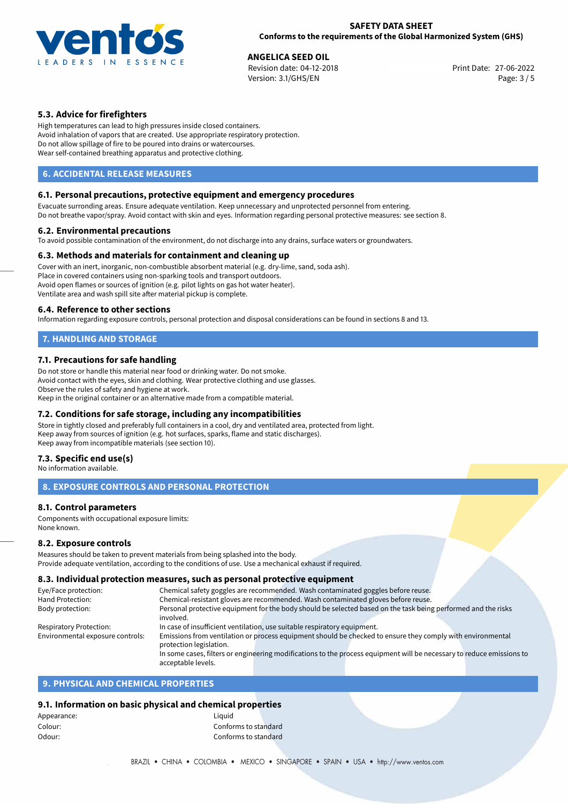

**ANGELICA SEED OIL**<br>
Revision date: 04-12-2018 **Print Date: 27-06-2022** Version: 3.1/GHS/EN Page: 3 / 5

# **5.3. Advice for firefighters**

High temperatures can lead to high pressures inside closed containers. Avoid inhalation of vapors that are created. Use appropriate respiratory protection. Do not allow spillage of fire to be poured into drains or watercourses. Wear self-contained breathing apparatus and protective clothing.

# **6. ACCIDENTAL RELEASE MEASURES**

### **6.1. Personal precautions, protective equipment and emergency procedures**

Evacuate surronding areas. Ensure adequate ventilation. Keep unnecessary and unprotected personnel from entering. Do not breathe vapor/spray. Avoid contact with skin and eyes. Information regarding personal protective measures: see section 8.

#### **6.2. Environmental precautions**

To avoid possible contamination of the environment, do not discharge into any drains, surface waters or groundwaters.

### **6.3. Methods and materials for containment and cleaning up**

Cover with an inert, inorganic, non-combustible absorbent material (e.g. dry-lime, sand, soda ash). Place in covered containers using non-sparking tools and transport outdoors. Avoid open flames or sources of ignition (e.g. pilot lights on gas hot water heater). Ventilate area and wash spill site after material pickup is complete.

### **6.4. Reference to other sections**

Information regarding exposure controls, personal protection and disposal considerations can be found in sections 8 and 13.

# **7. HANDLING AND STORAGE**

### **7.1. Precautions for safe handling**

Do not store or handle this material near food or drinking water. Do not smoke. Avoid contact with the eyes, skin and clothing. Wear protective clothing and use glasses. Observe the rules of safety and hygiene at work. Keep in the original container or an alternative made from a compatible material.

### **7.2. Conditions for safe storage, including any incompatibilities**

Store in tightly closed and preferably full containers in a cool, dry and ventilated area, protected from light. Keep away from sources of ignition (e.g. hot surfaces, sparks, flame and static discharges). Keep away from incompatible materials (see section 10).

### **7.3. Specific end use(s)**

No information available.

# **8. EXPOSURE CONTROLS AND PERSONAL PROTECTION**

### **8.1. Control parameters**

Components with occupational exposure limits: None known.

### **8.2. Exposure controls**

Measures should be taken to prevent materials from being splashed into the body. Provide adequate ventilation, according to the conditions of use. Use a mechanical exhaust if required.

# **8.3. Individual protection measures, such as personal protective equipment**

| Eye/Face protection:             | Chemical safety goggles are recommended. Wash contaminated goggles before reuse.                                      |  |  |
|----------------------------------|-----------------------------------------------------------------------------------------------------------------------|--|--|
| Hand Protection:                 | Chemical-resistant gloves are recommended. Wash contaminated gloves before reuse.                                     |  |  |
| Body protection:                 | Personal protective equipment for the body should be selected based on the task being performed and the risks         |  |  |
|                                  | involved.                                                                                                             |  |  |
| Respiratory Protection:          | In case of insufficient ventilation, use suitable respiratory equipment.                                              |  |  |
| Environmental exposure controls: | Emissions from ventilation or process equipment should be checked to ensure they comply with environmental            |  |  |
|                                  | protection legislation.                                                                                               |  |  |
|                                  | In some cases, filters or engineering modifications to the process equipment will be necessary to reduce emissions to |  |  |
|                                  | acceptable levels.                                                                                                    |  |  |

# **9. PHYSICAL AND CHEMICAL PROPERTIES**

### **9.1. Information on basic physical and chemical properties**

| Liauid               |  |
|----------------------|--|
| Conforms to standard |  |
| Conforms to standard |  |
|                      |  |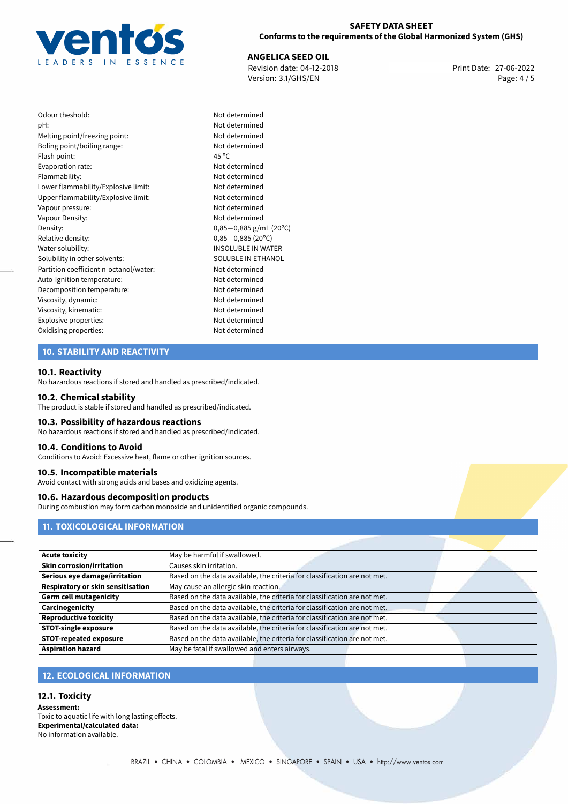

## **SAFETY DATA SHEET Conforms to the requirements of the Global Harmonized System (GHS)**

**ANGELICA SEED OIL**<br>
Revision date: 04-12-2018 **Print Date: 27-06-2022** Version: 3.1/GHS/EN Page: 4 / 5

| Odour theshold:                        | Not c          |
|----------------------------------------|----------------|
| pH:                                    | Not c          |
| Melting point/freezing point:          | Not c          |
| Boling point/boiling range:            | Not c          |
| Flash point:                           | $45^{\circ}$ C |
| Evaporation rate:                      | Not c          |
| Flammability:                          | Not c          |
| Lower flammability/Explosive limit:    | Not c          |
| Upper flammability/Explosive limit:    | Not c          |
| Vapour pressure:                       | Not c          |
| Vapour Density:                        | Not c          |
| Density:                               | $0,85 -$       |
| Relative density:                      | $0,85 -$       |
| Water solubility:                      | <b>INSO</b>    |
| Solubility in other solvents:          | SOLL           |
| Partition coefficient n-octanol/water: | Not c          |
| Auto-ignition temperature:             | Not c          |
| Decomposition temperature:             | Not c          |
| Viscosity, dynamic:                    | Not c          |
| Viscosity, kinematic:                  | Not c          |
| Explosive properties:                  | Not c          |
| Oxidising properties:                  | Not c          |
|                                        |                |

# Not determined Not determined Not determined Not determined Not determined Upper flammability/Explosive limit: Not determined Not determined Not determined Density: 0,85*−*0,885 g/mL (20ºC) Relative density: 0,85*−*0,885 (20ºC) INSOLUBLE IN WATER SOLUBLE IN ETHANOL Not determined Not determined Not determined Not determined Not determined Explosive properties: Not determined Not determined

Not determined Not determined

# **10. STABILITY AND REACTIVITY**

#### **10.1. Reactivity**

No hazardous reactions if stored and handled as prescribed/indicated.

#### **10.2. Chemical stability**

The product is stable if stored and handled as prescribed/indicated.

#### **10.3. Possibility of hazardous reactions**

No hazardous reactions if stored and handled as prescribed/indicated.

#### **10.4. Conditions to Avoid**

Conditions to Avoid: Excessive heat, flame or other ignition sources.

#### **10.5. Incompatible materials**

Avoid contact with strong acids and bases and oxidizing agents.

#### **10.6. Hazardous decomposition products**

During combustion may form carbon monoxide and unidentified organic compounds.

# **11. TOXICOLOGICAL INFORMATION**

| <b>Acute toxicity</b>             | May be harmful if swallowed.                                              |  |
|-----------------------------------|---------------------------------------------------------------------------|--|
| <b>Skin corrosion/irritation</b>  | Causes skin irritation.                                                   |  |
| Serious eye damage/irritation     | Based on the data available, the criteria for classification are not met. |  |
| Respiratory or skin sensitisation | May cause an allergic skin reaction.                                      |  |
| <b>Germ cell mutagenicity</b>     | Based on the data available, the criteria for classification are not met. |  |
| Carcinogenicity                   | Based on the data available, the criteria for classification are not met. |  |
| <b>Reproductive toxicity</b>      | Based on the data available, the criteria for classification are not met. |  |
| <b>STOT-single exposure</b>       | Based on the data available, the criteria for classification are not met. |  |
| <b>STOT-repeated exposure</b>     | Based on the data available, the criteria for classification are not met. |  |
| <b>Aspiration hazard</b>          | May be fatal if swallowed and enters airways.                             |  |

# **12. ECOLOGICAL INFORMATION**

# **12.1. Toxicity**

**Assessment:** Toxic to aquatic life with long lasting effects. **Experimental/calculated data:** No information available.